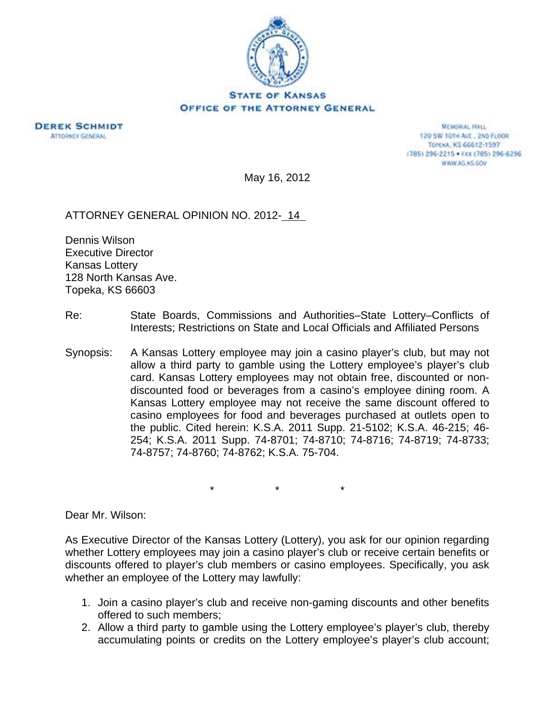



**MEMORIAL HALL** 120 SW 101H AVE., 2ND FLOOR TOPEXA, KS 66612-1597 (785) 296-2215 · FAX (785) 296-6296 WWW.AG.XS.GOV

May 16, 2012

## ATTORNEY GENERAL OPINION NO. 2012- 14

Dennis Wilson Executive Director Kansas Lottery 128 North Kansas Ave. Topeka, KS 66603

- Re: State Boards, Commissions and Authorities–State Lottery–Conflicts of Interests; Restrictions on State and Local Officials and Affiliated Persons
- Synopsis: A Kansas Lottery employee may join a casino player's club, but may not allow a third party to gamble using the Lottery employee's player's club card. Kansas Lottery employees may not obtain free, discounted or nondiscounted food or beverages from a casino's employee dining room. A Kansas Lottery employee may not receive the same discount offered to casino employees for food and beverages purchased at outlets open to the public. Cited herein: K.S.A. 2011 Supp. 21-5102; K.S.A. 46-215; 46- 254; K.S.A. 2011 Supp. 74-8701; 74-8710; 74-8716; 74-8719; 74-8733; 74-8757; 74-8760; 74-8762; K.S.A. 75-704.

\* \* \*

Dear Mr. Wilson:

As Executive Director of the Kansas Lottery (Lottery), you ask for our opinion regarding whether Lottery employees may join a casino player's club or receive certain benefits or discounts offered to player's club members or casino employees. Specifically, you ask whether an employee of the Lottery may lawfully:

- 1. Join a casino player's club and receive non-gaming discounts and other benefits offered to such members;
- 2. Allow a third party to gamble using the Lottery employee's player's club, thereby accumulating points or credits on the Lottery employee's player's club account;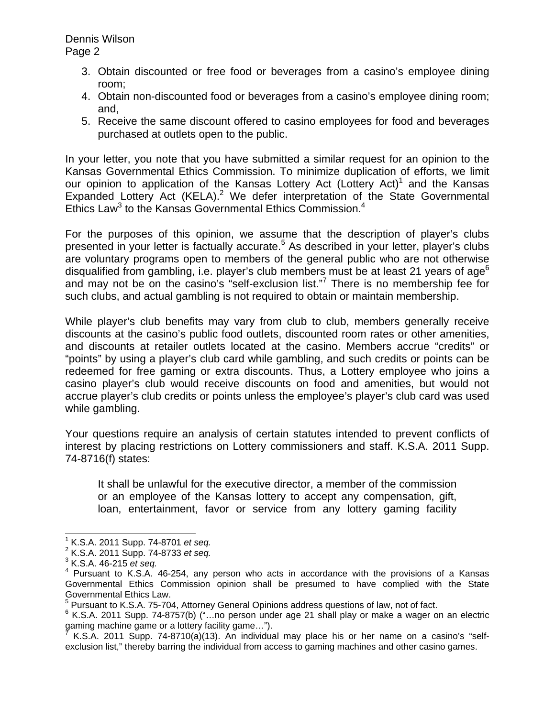Dennis Wilson Page 2

- 3. Obtain discounted or free food or beverages from a casino's employee dining room;
- 4. Obtain non-discounted food or beverages from a casino's employee dining room; and,
- 5. Receive the same discount offered to casino employees for food and beverages purchased at outlets open to the public.

In your letter, you note that you have submitted a similar request for an opinion to the Kansas Governmental Ethics Commission. To minimize duplication of efforts, we limit our opinion to application of the Kansas Lottery Act (Lottery Act)<sup>1</sup> and the Kansas Expanded Lottery Act (KELA).<sup>2</sup> We defer interpretation of the State Governmental Ethics Law<sup>3</sup> to the Kansas Governmental Ethics Commission.<sup>4</sup>

For the purposes of this opinion, we assume that the description of player's clubs presented in your letter is factually accurate.<sup>5</sup> As described in your letter, player's clubs are voluntary programs open to members of the general public who are not otherwise disqualified from gambling, i.e. player's club members must be at least 21 years of age<sup>6</sup> and may not be on the casino's "self-exclusion list."<sup>7</sup> There is no membership fee for such clubs, and actual gambling is not required to obtain or maintain membership.

While player's club benefits may vary from club to club, members generally receive discounts at the casino's public food outlets, discounted room rates or other amenities, and discounts at retailer outlets located at the casino. Members accrue "credits" or "points" by using a player's club card while gambling, and such credits or points can be redeemed for free gaming or extra discounts. Thus, a Lottery employee who joins a casino player's club would receive discounts on food and amenities, but would not accrue player's club credits or points unless the employee's player's club card was used while gambling.

Your questions require an analysis of certain statutes intended to prevent conflicts of interest by placing restrictions on Lottery commissioners and staff. K.S.A. 2011 Supp. 74-8716(f) states:

It shall be unlawful for the executive director, a member of the commission or an employee of the Kansas lottery to accept any compensation, gift, loan, entertainment, favor or service from any lottery gaming facility

 $\overline{a}$ 

<sup>1</sup> K.S.A. 2011 Supp. 74-8701 *et seq.* <sup>2</sup>

K.S.A. 2011 Supp. 74-8733 *et seq.* <sup>3</sup>

K.S.A. 46-215 *et seq.* <sup>4</sup>

 $4$  Pursuant to K.S.A. 46-254, any person who acts in accordance with the provisions of a Kansas Governmental Ethics Commission opinion shall be presumed to have complied with the State Governmental Ethics Law.

<sup>&</sup>lt;sup>5</sup> Pursuant to K.S.A. 75-704, Attorney General Opinions address questions of law, not of fact.<br><sup>6</sup> K.S.A. 2011, Sunn, 74,8757(b) (" ...po norpon under age 21 aboll play ar make a wager at

<sup>&</sup>lt;sup>6</sup> K.S.A. 2011 Supp. 74-8757(b) ("...no person under age 21 shall play or make a wager on an electric gaming machine game or a lottery facility game...").<br>( K S A - 2011, Supp. 74,8710(o)(13), Ap-individual

K.S.A. 2011 Supp. 74-8710(a)(13). An individual may place his or her name on a casino's "selfexclusion list," thereby barring the individual from access to gaming machines and other casino games.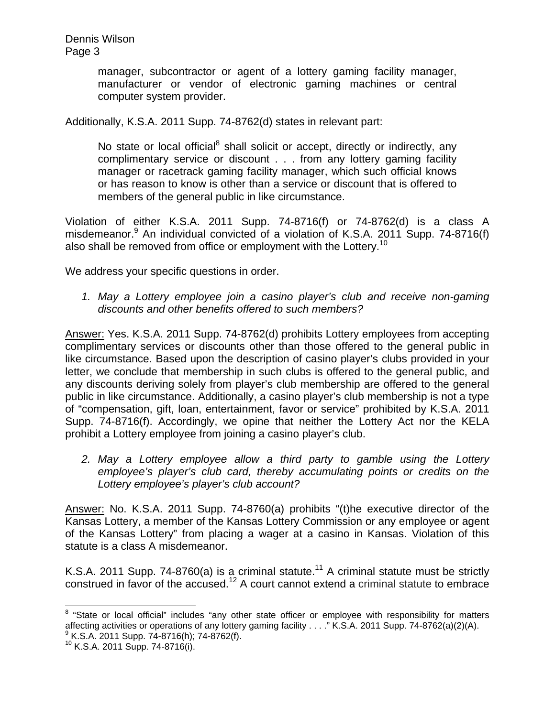manager, subcontractor or agent of a lottery gaming facility manager, manufacturer or vendor of electronic gaming machines or central computer system provider.

Additionally, K.S.A. 2011 Supp. 74-8762(d) states in relevant part:

No state or local official<sup>8</sup> shall solicit or accept, directly or indirectly, any complimentary service or discount . . . from any lottery gaming facility manager or racetrack gaming facility manager, which such official knows or has reason to know is other than a service or discount that is offered to members of the general public in like circumstance.

Violation of either K.S.A. 2011 Supp. 74-8716(f) or 74-8762(d) is a class A misdemeanor.<sup>9</sup> An individual convicted of a violation of K.S.A. 2011 Supp. 74-8716(f) also shall be removed from office or employment with the Lottery.<sup>10</sup>

We address your specific questions in order.

*1. May a Lottery employee join a casino player's club and receive non-gaming discounts and other benefits offered to such members?* 

Answer: Yes. K.S.A. 2011 Supp. 74-8762(d) prohibits Lottery employees from accepting complimentary services or discounts other than those offered to the general public in like circumstance. Based upon the description of casino player's clubs provided in your letter, we conclude that membership in such clubs is offered to the general public, and any discounts deriving solely from player's club membership are offered to the general public in like circumstance. Additionally, a casino player's club membership is not a type of "compensation, gift, loan, entertainment, favor or service" prohibited by K.S.A. 2011 Supp. 74-8716(f). Accordingly, we opine that neither the Lottery Act nor the KELA prohibit a Lottery employee from joining a casino player's club.

*2. May a Lottery employee allow a third party to gamble using the Lottery employee's player's club card, thereby accumulating points or credits on the Lottery employee's player's club account?* 

Answer: No. K.S.A. 2011 Supp. 74-8760(a) prohibits "(t)he executive director of the Kansas Lottery, a member of the Kansas Lottery Commission or any employee or agent of the Kansas Lottery" from placing a wager at a casino in Kansas. Violation of this statute is a class A misdemeanor.

K.S.A. 2011 Supp. 74-8760(a) is a criminal statute.<sup>11</sup> A criminal statute must be strictly construed in favor of the accused.<sup>12</sup> A court cannot extend a criminal statute to embrace

 $\overline{a}$ 

<sup>&</sup>lt;sup>8</sup> "State or local official" includes "any other state officer or employee with responsibility for matters affecting activities or operations of any lottery gaming facility . . . ." K.S.A. 2011 Supp. 74-8762(a)(2)(A). K.S.A. 2011 Supp. 74-8716(h); 74-8762(f).

<sup>10</sup> K.S.A. 2011 Supp. 74-8716(i).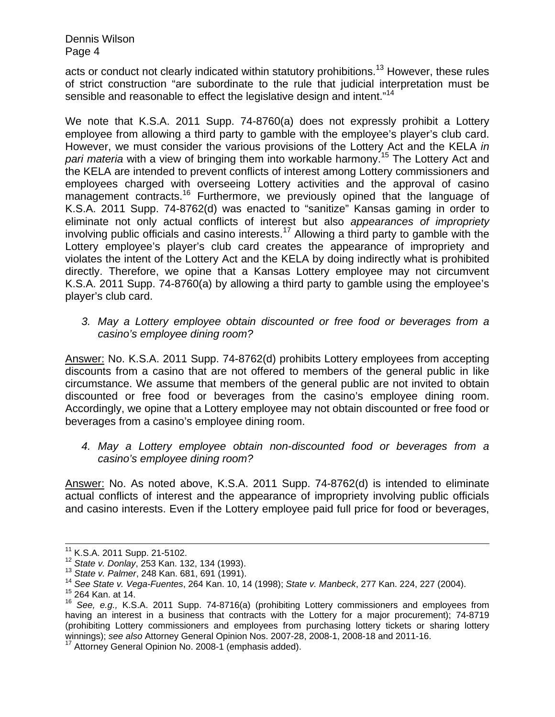Dennis Wilson Page 4

acts or conduct not clearly indicated within statutory prohibitions.<sup>13</sup> However, these rules of strict construction "are subordinate to the rule that judicial interpretation must be sensible and reasonable to effect the legislative design and intent."<sup>14</sup>

We note that K.S.A. 2011 Supp. 74-8760(a) does not expressly prohibit a Lottery employee from allowing a third party to gamble with the employee's player's club card. However, we must consider the various provisions of the Lottery Act and the KELA *in pari materia* with a view of bringing them into workable harmony.15 The Lottery Act and the KELA are intended to prevent conflicts of interest among Lottery commissioners and employees charged with overseeing Lottery activities and the approval of casino management contracts.<sup>16</sup> Furthermore, we previously opined that the language of K.S.A. 2011 Supp. 74-8762(d) was enacted to "sanitize" Kansas gaming in order to eliminate not only actual conflicts of interest but also *appearances of impropriety* involving public officials and casino interests.<sup>17</sup> Allowing a third party to gamble with the Lottery employee's player's club card creates the appearance of impropriety and violates the intent of the Lottery Act and the KELA by doing indirectly what is prohibited directly. Therefore, we opine that a Kansas Lottery employee may not circumvent K.S.A. 2011 Supp. 74-8760(a) by allowing a third party to gamble using the employee's player's club card.

*3. May a Lottery employee obtain discounted or free food or beverages from a casino's employee dining room?* 

Answer: No. K.S.A. 2011 Supp. 74-8762(d) prohibits Lottery employees from accepting discounts from a casino that are not offered to members of the general public in like circumstance. We assume that members of the general public are not invited to obtain discounted or free food or beverages from the casino's employee dining room. Accordingly, we opine that a Lottery employee may not obtain discounted or free food or beverages from a casino's employee dining room.

*4. May a Lottery employee obtain non-discounted food or beverages from a casino's employee dining room?* 

Answer: No. As noted above, K.S.A. 2011 Supp. 74-8762(d) is intended to eliminate actual conflicts of interest and the appearance of impropriety involving public officials and casino interests. Even if the Lottery employee paid full price for food or beverages,

<sup>&</sup>lt;sup>11</sup> K.S.A. 2011 Supp. 21-5102.<br><sup>12</sup> State v. Donlay, 253 Kan. 132, 134 (1993).<br><sup>13</sup> State v. Palmer, 248 Kan. 681, 691 (1991).<br><sup>14</sup> See State v. Vega-Fuentes, 264 Kan. 10, 14 (1998); State v. Manbeck, 277 Kan. 224, 227 (2

<sup>16</sup> *See, e.g.,* K.S.A. 2011 Supp. 74-8716(a) (prohibiting Lottery commissioners and employees from having an interest in a business that contracts with the Lottery for a major procurement); 74-8719 (prohibiting Lottery commissioners and employees from purchasing lottery tickets or sharing lottery winnings); *see also* Attorney General Opinion Nos. 2007-28, 2008-1, 2008-18 and 2011-16.

Attorney General Opinion No. 2008-1 (emphasis added).